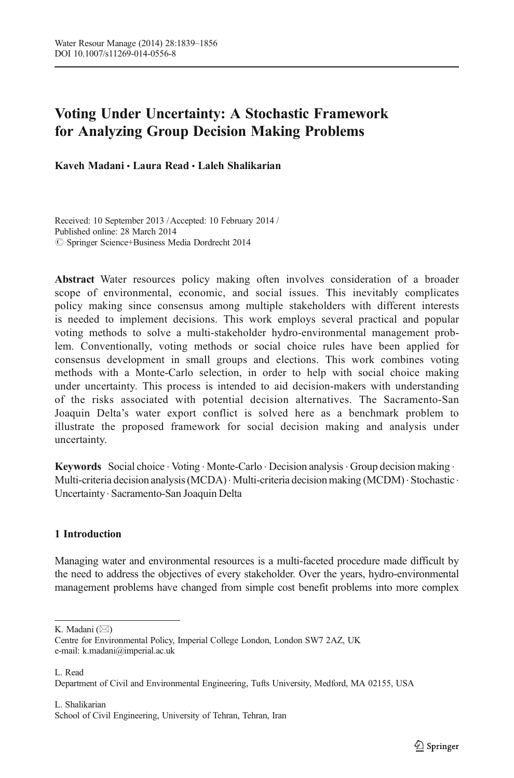# Voting Under Uncertainty: A Stochastic Framework for Analyzing Group Decision Making Problems

Kaveh Madani & Laura Read & Laleh Shalikarian

Received: 10 September 2013 /Accepted: 10 February 2014 / Published online: 28 March 2014  $\oslash$  Springer Science+Business Media Dordrecht 2014

Abstract Water resources policy making often involves consideration of a broader scope of environmental, economic, and social issues. This inevitably complicates policy making since consensus among multiple stakeholders with different interests is needed to implement decisions. This work employs several practical and popular voting methods to solve a multi-stakeholder hydro-environmental management problem. Conventionally, voting methods or social choice rules have been applied for consensus development in small groups and elections. This work combines voting methods with a Monte-Carlo selection, in order to help with social choice making under uncertainty. This process is intended to aid decision-makers with understanding of the risks associated with potential decision alternatives. The Sacramento-San Joaquin Delta's water export conflict is solved here as a benchmark problem to illustrate the proposed framework for social decision making and analysis under uncertainty.

Keywords Social choice · Voting · Monte-Carlo · Decision analysis · Group decision making · Multi-criteria decision analysis (MCDA). Multi-criteria decision making (MCDM). Stochastic . Uncertainty. Sacramento-San Joaquin Delta

### 1 Introduction

Managing water and environmental resources is a multi-faceted procedure made difficult by the need to address the objectives of every stakeholder. Over the years, hydro-environmental management problems have changed from simple cost benefit problems into more complex

K. Madani  $(\boxtimes)$ 

L. Read

Department of Civil and Environmental Engineering, Tufts University, Medford, MA 02155, USA

Centre for Environmental Policy, Imperial College London, London SW7 2AZ, UK e-mail: k.madani@imperial.ac.uk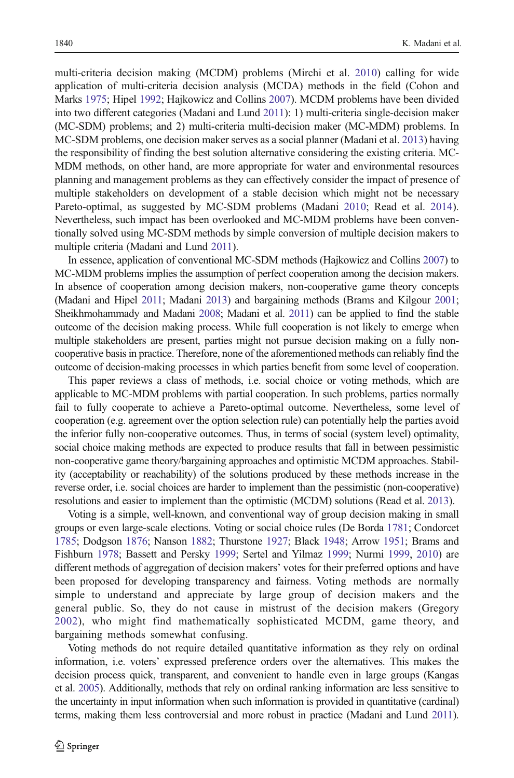multi-criteria decision making (MCDM) problems (Mirchi et al. [2010](#page-17-0)) calling for wide application of multi-criteria decision analysis (MCDA) methods in the field (Cohon and Marks [1975](#page-16-0); Hipel [1992;](#page-16-0) Hajkowicz and Collins [2007\)](#page-16-0). MCDM problems have been divided into two different categories (Madani and Lund [2011](#page-17-0)): 1) multi-criteria single-decision maker (MC-SDM) problems; and 2) multi-criteria multi-decision maker (MC-MDM) problems. In MC-SDM problems, one decision maker serves as a social planner (Madani et al. [2013](#page-17-0)) having the responsibility of finding the best solution alternative considering the existing criteria. MC-MDM methods, on other hand, are more appropriate for water and environmental resources planning and management problems as they can effectively consider the impact of presence of multiple stakeholders on development of a stable decision which might not be necessary Pareto-optimal, as suggested by MC-SDM problems (Madani [2010](#page-17-0); Read et al. [2014](#page-17-0)). Nevertheless, such impact has been overlooked and MC-MDM problems have been conventionally solved using MC-SDM methods by simple conversion of multiple decision makers to multiple criteria (Madani and Lund [2011\)](#page-17-0).

In essence, application of conventional MC-SDM methods (Hajkowicz and Collins [2007](#page-16-0)) to MC-MDM problems implies the assumption of perfect cooperation among the decision makers. In absence of cooperation among decision makers, non-cooperative game theory concepts (Madani and Hipel [2011;](#page-17-0) Madani [2013](#page-17-0)) and bargaining methods (Brams and Kilgour [2001](#page-16-0); Sheikhmohammady and Madani [2008;](#page-17-0) Madani et al. [2011](#page-17-0)) can be applied to find the stable outcome of the decision making process. While full cooperation is not likely to emerge when multiple stakeholders are present, parties might not pursue decision making on a fully noncooperative basis in practice. Therefore, none of the aforementioned methods can reliably find the outcome of decision-making processes in which parties benefit from some level of cooperation.

This paper reviews a class of methods, i.e. social choice or voting methods, which are applicable to MC-MDM problems with partial cooperation. In such problems, parties normally fail to fully cooperate to achieve a Pareto-optimal outcome. Nevertheless, some level of cooperation (e.g. agreement over the option selection rule) can potentially help the parties avoid the inferior fully non-cooperative outcomes. Thus, in terms of social (system level) optimality, social choice making methods are expected to produce results that fall in between pessimistic non-cooperative game theory/bargaining approaches and optimistic MCDM approaches. Stability (acceptability or reachability) of the solutions produced by these methods increase in the reverse order, i.e. social choices are harder to implement than the pessimistic (non-cooperative) resolutions and easier to implement than the optimistic (MCDM) solutions (Read et al. [2013\)](#page-17-0).

Voting is a simple, well-known, and conventional way of group decision making in small groups or even large-scale elections. Voting or social choice rules (De Borda [1781](#page-16-0); Condorcet [1785](#page-16-0); Dodgson [1876](#page-16-0); Nanson [1882;](#page-17-0) Thurstone [1927](#page-17-0); Black [1948](#page-16-0); Arrow [1951](#page-16-0); Brams and Fishburn [1978;](#page-16-0) Bassett and Persky [1999;](#page-16-0) Sertel and Yilmaz [1999](#page-17-0); Nurmi [1999](#page-17-0), [2010\)](#page-17-0) are different methods of aggregation of decision makers' votes for their preferred options and have been proposed for developing transparency and fairness. Voting methods are normally simple to understand and appreciate by large group of decision makers and the general public. So, they do not cause in mistrust of the decision makers (Gregory [2002\)](#page-16-0), who might find mathematically sophisticated MCDM, game theory, and bargaining methods somewhat confusing.

Voting methods do not require detailed quantitative information as they rely on ordinal information, i.e. voters' expressed preference orders over the alternatives. This makes the decision process quick, transparent, and convenient to handle even in large groups (Kangas et al. [2005](#page-16-0)). Additionally, methods that rely on ordinal ranking information are less sensitive to the uncertainty in input information when such information is provided in quantitative (cardinal) terms, making them less controversial and more robust in practice (Madani and Lund [2011](#page-17-0)).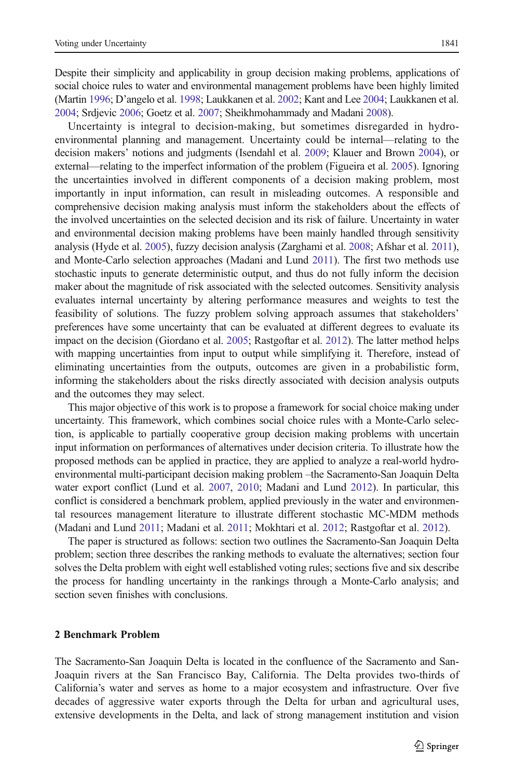<span id="page-2-0"></span>Despite their simplicity and applicability in group decision making problems, applications of social choice rules to water and environmental management problems have been highly limited (Martin [1996](#page-17-0); D'angelo et al. [1998;](#page-16-0) Laukkanen et al. [2002;](#page-16-0) Kant and Lee [2004;](#page-16-0) Laukkanen et al. [2004;](#page-16-0) Srdjevic [2006](#page-17-0); Goetz et al. [2007;](#page-16-0) Sheikhmohammady and Madani [2008](#page-17-0)).

Uncertainty is integral to decision-making, but sometimes disregarded in hydroenvironmental planning and management. Uncertainty could be internal—relating to the decision makers' notions and judgments (Isendahl et al. [2009](#page-16-0); Klauer and Brown [2004](#page-16-0)), or external—relating to the imperfect information of the problem (Figueira et al. [2005](#page-16-0)). Ignoring the uncertainties involved in different components of a decision making problem, most importantly in input information, can result in misleading outcomes. A responsible and comprehensive decision making analysis must inform the stakeholders about the effects of the involved uncertainties on the selected decision and its risk of failure. Uncertainty in water and environmental decision making problems have been mainly handled through sensitivity analysis (Hyde et al. [2005\)](#page-16-0), fuzzy decision analysis (Zarghami et al. [2008;](#page-17-0) Afshar et al. [2011](#page-16-0)), and Monte-Carlo selection approaches (Madani and Lund [2011](#page-17-0)). The first two methods use stochastic inputs to generate deterministic output, and thus do not fully inform the decision maker about the magnitude of risk associated with the selected outcomes. Sensitivity analysis evaluates internal uncertainty by altering performance measures and weights to test the feasibility of solutions. The fuzzy problem solving approach assumes that stakeholders' preferences have some uncertainty that can be evaluated at different degrees to evaluate its impact on the decision (Giordano et al. [2005](#page-16-0); Rastgoftar et al. [2012](#page-17-0)). The latter method helps with mapping uncertainties from input to output while simplifying it. Therefore, instead of eliminating uncertainties from the outputs, outcomes are given in a probabilistic form, informing the stakeholders about the risks directly associated with decision analysis outputs and the outcomes they may select.

This major objective of this work is to propose a framework for social choice making under uncertainty. This framework, which combines social choice rules with a Monte-Carlo selection, is applicable to partially cooperative group decision making problems with uncertain input information on performances of alternatives under decision criteria. To illustrate how the proposed methods can be applied in practice, they are applied to analyze a real-world hydroenvironmental multi-participant decision making problem –the Sacramento-San Joaquin Delta water export conflict (Lund et al. [2007,](#page-16-0) [2010;](#page-17-0) Madani and Lund [2012\)](#page-17-0). In particular, this conflict is considered a benchmark problem, applied previously in the water and environmental resources management literature to illustrate different stochastic MC-MDM methods (Madani and Lund [2011](#page-17-0); Madani et al. [2011;](#page-17-0) Mokhtari et al. [2012](#page-17-0); Rastgoftar et al. [2012\)](#page-17-0).

The paper is structured as follows: section two outlines the Sacramento-San Joaquin Delta problem; section three describes the ranking methods to evaluate the alternatives; section four solves the Delta problem with eight well established voting rules; sections five and six describe the process for handling uncertainty in the rankings through a Monte-Carlo analysis; and section seven finishes with conclusions.

### 2 Benchmark Problem

The Sacramento-San Joaquin Delta is located in the confluence of the Sacramento and San-Joaquin rivers at the San Francisco Bay, California. The Delta provides two-thirds of California's water and serves as home to a major ecosystem and infrastructure. Over five decades of aggressive water exports through the Delta for urban and agricultural uses, extensive developments in the Delta, and lack of strong management institution and vision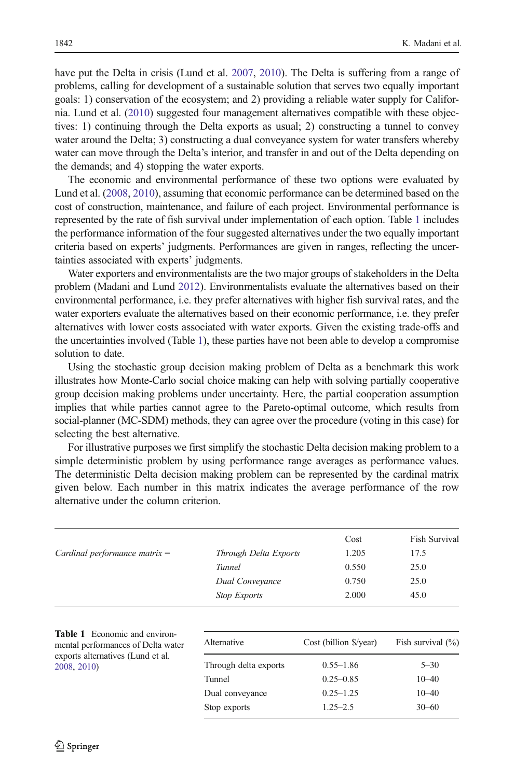have put the Delta in crisis (Lund et al. [2007,](#page-16-0) [2010](#page-17-0)). The Delta is suffering from a range of problems, calling for development of a sustainable solution that serves two equally important goals: 1) conservation of the ecosystem; and 2) providing a reliable water supply for California. Lund et al. ([2010](#page-17-0)) suggested four management alternatives compatible with these objectives: 1) continuing through the Delta exports as usual; 2) constructing a tunnel to convey water around the Delta; 3) constructing a dual conveyance system for water transfers whereby water can move through the Delta's interior, and transfer in and out of the Delta depending on the demands; and 4) stopping the water exports.

The economic and environmental performance of these two options were evaluated by Lund et al. ([2008](#page-17-0), [2010](#page-17-0)), assuming that economic performance can be determined based on the cost of construction, maintenance, and failure of each project. Environmental performance is represented by the rate of fish survival under implementation of each option. Table 1 includes the performance information of the four suggested alternatives under the two equally important criteria based on experts' judgments. Performances are given in ranges, reflecting the uncertainties associated with experts' judgments.

Water exporters and environmentalists are the two major groups of stakeholders in the Delta problem (Madani and Lund [2012](#page-17-0)). Environmentalists evaluate the alternatives based on their environmental performance, i.e. they prefer alternatives with higher fish survival rates, and the water exporters evaluate the alternatives based on their economic performance, i.e. they prefer alternatives with lower costs associated with water exports. Given the existing trade-offs and the uncertainties involved (Table 1), these parties have not been able to develop a compromise solution to date.

Using the stochastic group decision making problem of Delta as a benchmark this work illustrates how Monte-Carlo social choice making can help with solving partially cooperative group decision making problems under uncertainty. Here, the partial cooperation assumption implies that while parties cannot agree to the Pareto-optimal outcome, which results from social-planner (MC-SDM) methods, they can agree over the procedure (voting in this case) for selecting the best alternative.

For illustrative purposes we first simplify the stochastic Delta decision making problem to a simple deterministic problem by using performance range averages as performance values. The deterministic Delta decision making problem can be represented by the cardinal matrix given below. Each number in this matrix indicates the average performance of the row alternative under the column criterion.

|                                                                            |                       | Cost                   | <b>Fish Survival</b> |
|----------------------------------------------------------------------------|-----------------------|------------------------|----------------------|
| Cardinal performance matrix $=$                                            | Through Delta Exports | 1.205                  | 17.5                 |
|                                                                            | <b>Tunnel</b>         | 0.550                  | 25.0                 |
|                                                                            | Dual Conveyance       | 0.750                  | 25.0                 |
|                                                                            | <b>Stop Exports</b>   | 2.000                  | 45.0                 |
| <b>Table 1</b> Economic and environ-<br>mental performances of Delta water | Alternative           | Cost (billion \$/year) | Fish survival $(\%)$ |
| exports alternatives (Lund et al.<br>2008, 2010)                           | Through delta exports | $0.55 - 1.86$          | $5 - 30$             |
|                                                                            | Tunnel                | $0.25 - 0.85$          | $10 - 40$            |
|                                                                            | Dual conveyance       | $0.25 - 1.25$          | $10 - 40$            |
|                                                                            | Stop exports          | $1.25 - 2.5$           | $30 - 60$            |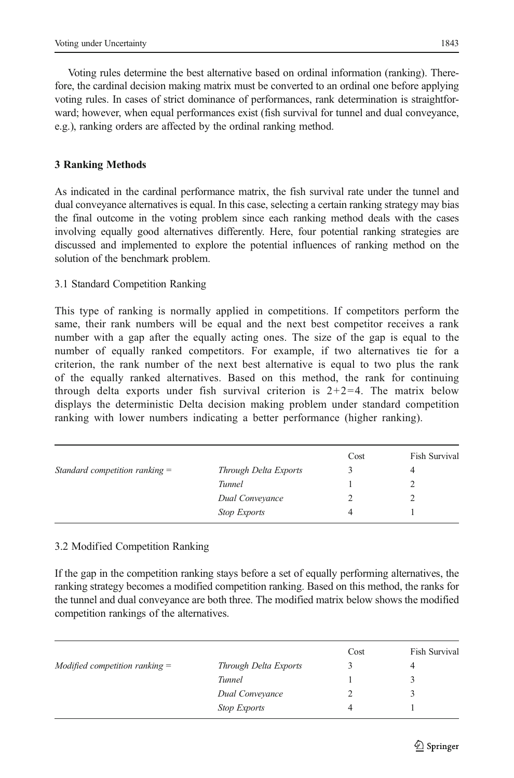<span id="page-4-0"></span>Voting rules determine the best alternative based on ordinal information (ranking). Therefore, the cardinal decision making matrix must be converted to an ordinal one before applying voting rules. In cases of strict dominance of performances, rank determination is straightforward; however, when equal performances exist (fish survival for tunnel and dual conveyance, e.g.), ranking orders are affected by the ordinal ranking method.

# 3 Ranking Methods

As indicated in the cardinal performance matrix, the fish survival rate under the tunnel and dual conveyance alternatives is equal. In this case, selecting a certain ranking strategy may bias the final outcome in the voting problem since each ranking method deals with the cases involving equally good alternatives differently. Here, four potential ranking strategies are discussed and implemented to explore the potential influences of ranking method on the solution of the benchmark problem.

# 3.1 Standard Competition Ranking

This type of ranking is normally applied in competitions. If competitors perform the same, their rank numbers will be equal and the next best competitor receives a rank number with a gap after the equally acting ones. The size of the gap is equal to the number of equally ranked competitors. For example, if two alternatives tie for a criterion, the rank number of the next best alternative is equal to two plus the rank of the equally ranked alternatives. Based on this method, the rank for continuing through delta exports under fish survival criterion is  $2+2=4$ . The matrix below displays the deterministic Delta decision making problem under standard competition ranking with lower numbers indicating a better performance (higher ranking).

|                                  |                       | Cost | Fish Survival |
|----------------------------------|-----------------------|------|---------------|
| Standard competition ranking $=$ | Through Delta Exports |      | 4             |
|                                  | Tunnel                |      |               |
|                                  | Dual Conveyance       |      |               |
|                                  | <b>Stop Exports</b>   | 4    |               |
|                                  |                       |      |               |

# 3.2 Modified Competition Ranking

If the gap in the competition ranking stays before a set of equally performing alternatives, the ranking strategy becomes a modified competition ranking. Based on this method, the ranks for the tunnel and dual conveyance are both three. The modified matrix below shows the modified competition rankings of the alternatives.

|                                  |                       | Cost | Fish Survival |
|----------------------------------|-----------------------|------|---------------|
| Modified competition ranking $=$ | Through Delta Exports |      | 4             |
|                                  | <b>Tunnel</b>         |      |               |
|                                  | Dual Conveyance       |      | 3             |
|                                  | <b>Stop Exports</b>   | 4    |               |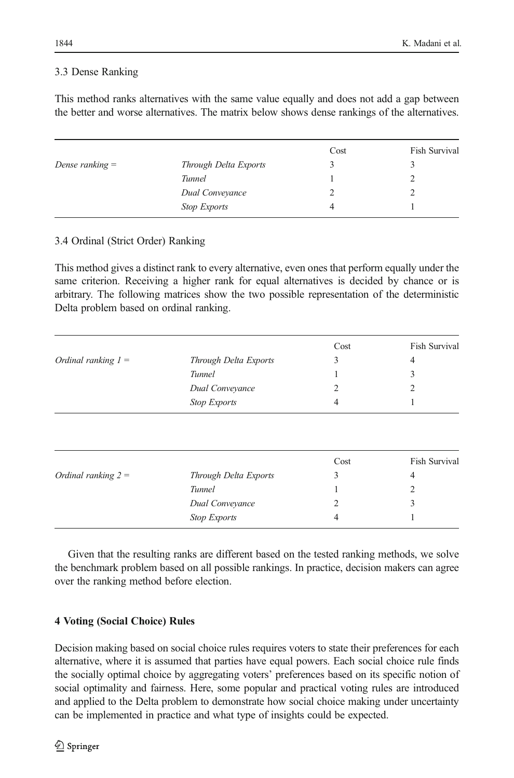## <span id="page-5-0"></span>3.3 Dense Ranking

This method ranks alternatives with the same value equally and does not add a gap between the better and worse alternatives. The matrix below shows dense rankings of the alternatives.

|                   |                       | Cost | Fish Survival |
|-------------------|-----------------------|------|---------------|
| Dense ranking $=$ | Through Delta Exports |      |               |
|                   | Tunnel                |      |               |
|                   | Dual Conveyance       |      |               |
|                   | <b>Stop Exports</b>   |      |               |

### 3.4 Ordinal (Strict Order) Ranking

This method gives a distinct rank to every alternative, even ones that perform equally under the same criterion. Receiving a higher rank for equal alternatives is decided by chance or is arbitrary. The following matrices show the two possible representation of the deterministic Delta problem based on ordinal ranking.

|                       |                       | Cost | Fish Survival |
|-----------------------|-----------------------|------|---------------|
| Ordinal ranking $1 =$ | Through Delta Exports | 3    | 4             |
|                       | <b>Tunnel</b>         |      | 3             |
|                       | Dual Conveyance       |      |               |
|                       | <b>Stop Exports</b>   |      |               |
|                       |                       |      |               |
|                       |                       |      |               |
|                       |                       | Cost | Fish Survival |
| Ordinal ranking $2 =$ | Through Delta Exports | 3    | 4             |
|                       | Tunnel                |      |               |
|                       | Dual Conveyance       |      | 3             |

Given that the resulting ranks are different based on the tested ranking methods, we solve the benchmark problem based on all possible rankings. In practice, decision makers can agree over the ranking method before election.

# 4 Voting (Social Choice) Rules

Decision making based on social choice rules requires voters to state their preferences for each alternative, where it is assumed that parties have equal powers. Each social choice rule finds the socially optimal choice by aggregating voters' preferences based on its specific notion of social optimality and fairness. Here, some popular and practical voting rules are introduced and applied to the Delta problem to demonstrate how social choice making under uncertainty can be implemented in practice and what type of insights could be expected.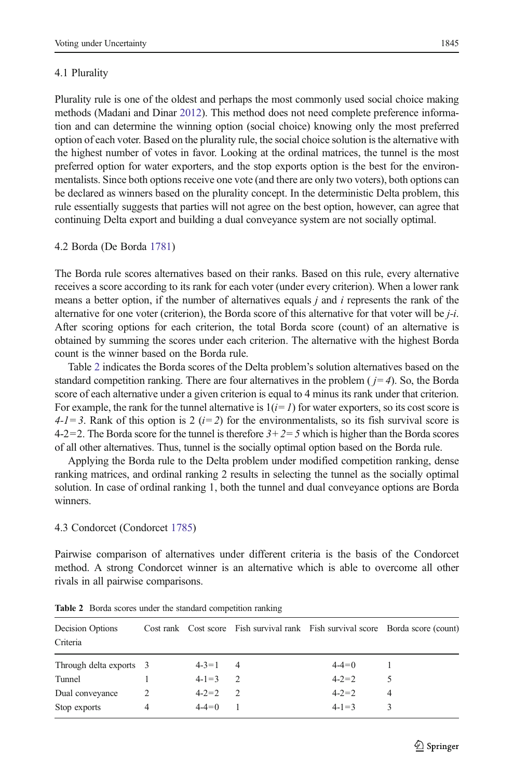### 4.1 Plurality

Plurality rule is one of the oldest and perhaps the most commonly used social choice making methods (Madani and Dinar [2012](#page-17-0)). This method does not need complete preference information and can determine the winning option (social choice) knowing only the most preferred option of each voter. Based on the plurality rule, the social choice solution is the alternative with the highest number of votes in favor. Looking at the ordinal matrices, the tunnel is the most preferred option for water exporters, and the stop exports option is the best for the environmentalists. Since both options receive one vote (and there are only two voters), both options can be declared as winners based on the plurality concept. In the deterministic Delta problem, this rule essentially suggests that parties will not agree on the best option, however, can agree that continuing Delta export and building a dual conveyance system are not socially optimal.

### 4.2 Borda (De Borda [1781\)](#page-16-0)

The Borda rule scores alternatives based on their ranks. Based on this rule, every alternative receives a score according to its rank for each voter (under every criterion). When a lower rank means a better option, if the number of alternatives equals  $i$  and  $i$  represents the rank of the alternative for one voter (criterion), the Borda score of this alternative for that voter will be j-i. After scoring options for each criterion, the total Borda score (count) of an alternative is obtained by summing the scores under each criterion. The alternative with the highest Borda count is the winner based on the Borda rule.

Table 2 indicates the Borda scores of the Delta problem's solution alternatives based on the standard competition ranking. There are four alternatives in the problem  $(i=4)$ . So, the Borda score of each alternative under a given criterion is equal to 4 minus its rank under that criterion. For example, the rank for the tunnel alternative is  $1(i=1)$  for water exporters, so its cost score is  $4-I=3$ . Rank of this option is 2 ( $i=2$ ) for the environmentalists, so its fish survival score is 4-2=2. The Borda score for the tunnel is therefore  $3+2=5$  which is higher than the Borda scores of all other alternatives. Thus, tunnel is the socially optimal option based on the Borda rule.

Applying the Borda rule to the Delta problem under modified competition ranking, dense ranking matrices, and ordinal ranking 2 results in selecting the tunnel as the socially optimal solution. In case of ordinal ranking 1, both the tunnel and dual conveyance options are Borda winners.

### 4.3 Condorcet (Condorcet [1785\)](#page-16-0)

Pairwise comparison of alternatives under different criteria is the basis of the Condorcet method. A strong Condorcet winner is an alternative which is able to overcome all other rivals in all pairwise comparisons.

| Decision Options<br>Criteria |   |             |                | Cost rank Cost score Fish survival rank Fish survival score Borda score (count) |   |
|------------------------------|---|-------------|----------------|---------------------------------------------------------------------------------|---|
| Through delta exports 3      |   | $4 - 3 = 1$ | $\overline{4}$ | $4 - 4 = 0$                                                                     |   |
| Tunnel                       |   | $4 - 1 = 3$ | $\mathcal{L}$  | $4 - 2 = 2$                                                                     | 5 |
| Dual conveyance              | 2 | $4 - 2 = 2$ | $\mathcal{L}$  | $4 - 2 = 2$                                                                     | 4 |
| Stop exports                 | 4 | $4 - 4 = 0$ |                | $4 - 1 = 3$                                                                     | 3 |

Table 2 Borda scores under the standard competition ranking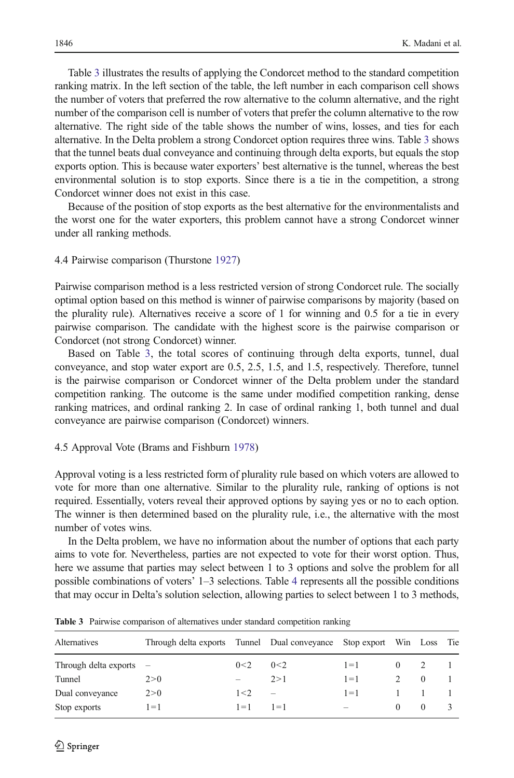Table 3 illustrates the results of applying the Condorcet method to the standard competition ranking matrix. In the left section of the table, the left number in each comparison cell shows the number of voters that preferred the row alternative to the column alternative, and the right number of the comparison cell is number of voters that prefer the column alternative to the row alternative. The right side of the table shows the number of wins, losses, and ties for each alternative. In the Delta problem a strong Condorcet option requires three wins. Table 3 shows that the tunnel beats dual conveyance and continuing through delta exports, but equals the stop exports option. This is because water exporters' best alternative is the tunnel, whereas the best environmental solution is to stop exports. Since there is a tie in the competition, a strong Condorcet winner does not exist in this case.

Because of the position of stop exports as the best alternative for the environmentalists and the worst one for the water exporters, this problem cannot have a strong Condorcet winner under all ranking methods.

#### 4.4 Pairwise comparison (Thurstone [1927](#page-17-0))

Pairwise comparison method is a less restricted version of strong Condorcet rule. The socially optimal option based on this method is winner of pairwise comparisons by majority (based on the plurality rule). Alternatives receive a score of 1 for winning and 0.5 for a tie in every pairwise comparison. The candidate with the highest score is the pairwise comparison or Condorcet (not strong Condorcet) winner.

Based on Table 3, the total scores of continuing through delta exports, tunnel, dual conveyance, and stop water export are 0.5, 2.5, 1.5, and 1.5, respectively. Therefore, tunnel is the pairwise comparison or Condorcet winner of the Delta problem under the standard competition ranking. The outcome is the same under modified competition ranking, dense ranking matrices, and ordinal ranking 2. In case of ordinal ranking 1, both tunnel and dual conveyance are pairwise comparison (Condorcet) winners.

#### 4.5 Approval Vote (Brams and Fishburn [1978\)](#page-16-0)

Approval voting is a less restricted form of plurality rule based on which voters are allowed to vote for more than one alternative. Similar to the plurality rule, ranking of options is not required. Essentially, voters reveal their approved options by saying yes or no to each option. The winner is then determined based on the plurality rule, i.e., the alternative with the most number of votes wins.

In the Delta problem, we have no information about the number of options that each party aims to vote for. Nevertheless, parties are not expected to vote for their worst option. Thus, here we assume that parties may select between 1 to 3 options and solve the problem for all possible combinations of voters' 1–3 selections. Table [4](#page-8-0) represents all the possible conditions that may occur in Delta's solution selection, allowing parties to select between 1 to 3 methods,

| Alternatives          | Through delta exports Tunnel Dual conveyance Stop export Win Loss |         |          |          |          | Tie |
|-----------------------|-------------------------------------------------------------------|---------|----------|----------|----------|-----|
| Through delta exports |                                                                   | 0<2     | 0<2      | $1 = 1$  |          |     |
| Tunnel                | 2>0                                                               |         | 2 > 1    | $1 = 1$  |          |     |
| Dual conveyance       | 2>0                                                               | 1 < 2   | $\equiv$ | $1 = 1$  |          |     |
| Stop exports          | $1 = 1$                                                           | $1 = 1$ | $1 = 1$  | $\equiv$ | $\theta$ |     |

Table 3 Pairwise comparison of alternatives under standard competition ranking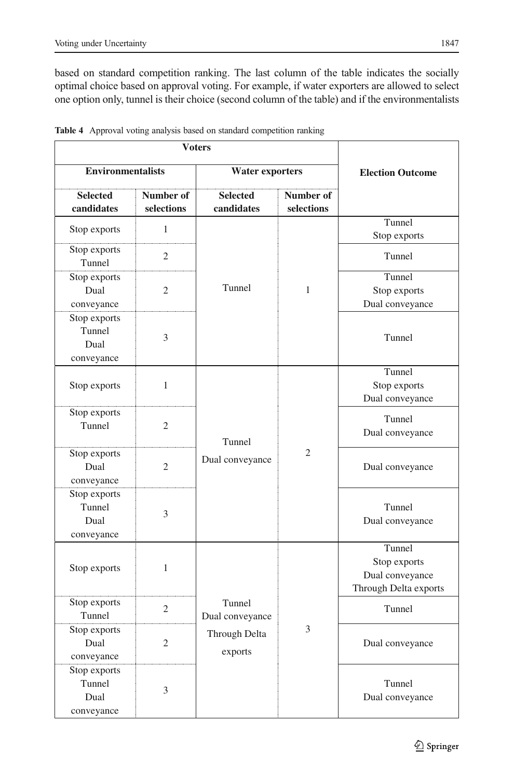<span id="page-8-0"></span>based on standard competition ranking. The last column of the table indicates the socially optimal choice based on approval voting. For example, if water exporters are allowed to select one option only, tunnel is their choice (second column of the table) and if the environmentalists

|                                              |                         | <b>Voters</b>                 |                                           |                                                                    |  |
|----------------------------------------------|-------------------------|-------------------------------|-------------------------------------------|--------------------------------------------------------------------|--|
| <b>Environmentalists</b>                     |                         | <b>Water exporters</b>        |                                           | <b>Election Outcome</b>                                            |  |
| <b>Selected</b><br>candidates                | Number of<br>selections | <b>Selected</b><br>candidates | Number of<br>selections                   |                                                                    |  |
| Stop exports                                 | $\mathbf{1}$            |                               |                                           | Tunnel<br>Stop exports                                             |  |
| Stop exports<br>Tunnel                       | $\overline{c}$          |                               |                                           | Tunnel                                                             |  |
| Stop exports<br>Dual<br>conveyance           | 2                       | Tunnel                        | $\mathbf{1}$                              | Tunnel<br>Stop exports<br>Dual conveyance                          |  |
| Stop exports<br>Tunnel<br>Dual<br>conveyance | 3                       |                               |                                           | Tunnel                                                             |  |
| Stop exports                                 | $\mathbf{1}$            |                               | Tunnel<br>Stop exports<br>Dual conveyance |                                                                    |  |
| Stop exports<br>Tunnel                       | $\overline{c}$          | Tunnel                        |                                           | Tunnel<br>Dual conveyance                                          |  |
| Stop exports<br>Dual<br>conveyance           | $\overline{c}$          | Dual conveyance               | $\overline{c}$                            | Dual conveyance                                                    |  |
| Stop exports<br>Tunnel<br>Dual<br>conveyance | 3                       |                               |                                           | Tunnel<br>Dual conveyance                                          |  |
| Stop exports                                 | $\mathbf{1}$            |                               |                                           | Tunnel<br>Stop exports<br>Dual conveyance<br>Through Delta exports |  |
| Stop exports<br>Tunnel                       | 2                       | Tunnel<br>Dual conveyance     |                                           | Tunnel                                                             |  |
| Stop exports<br>Dual<br>conveyance           | $\overline{c}$          | Through Delta<br>exports      | 3                                         | Dual conveyance                                                    |  |
| Stop exports<br>Tunnel<br>Dual<br>conveyance | 3                       |                               |                                           | Tunnel<br>Dual conveyance                                          |  |

Table 4 Approval voting analysis based on standard competition ranking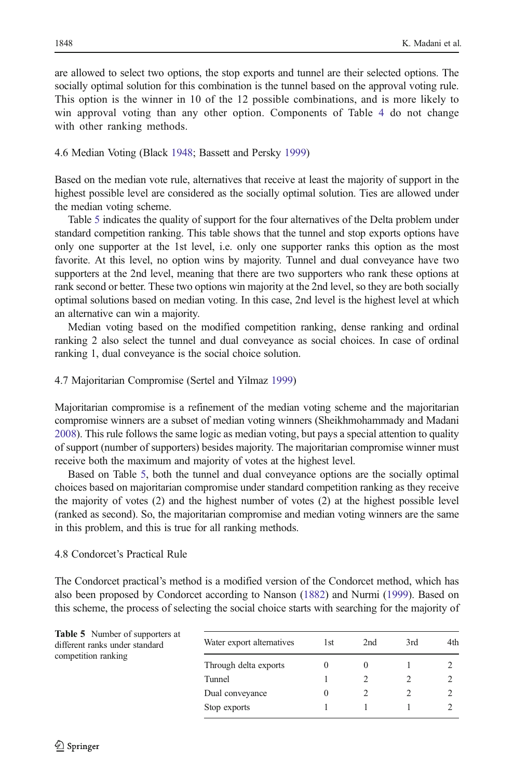<span id="page-9-0"></span>are allowed to select two options, the stop exports and tunnel are their selected options. The socially optimal solution for this combination is the tunnel based on the approval voting rule. This option is the winner in 10 of the 12 possible combinations, and is more likely to win approval voting than any other option. Components of Table [4](#page-8-0) do not change with other ranking methods.

### 4.6 Median Voting (Black [1948;](#page-16-0) Bassett and Persky [1999\)](#page-16-0)

Based on the median vote rule, alternatives that receive at least the majority of support in the highest possible level are considered as the socially optimal solution. Ties are allowed under the median voting scheme.

Table 5 indicates the quality of support for the four alternatives of the Delta problem under standard competition ranking. This table shows that the tunnel and stop exports options have only one supporter at the 1st level, i.e. only one supporter ranks this option as the most favorite. At this level, no option wins by majority. Tunnel and dual conveyance have two supporters at the 2nd level, meaning that there are two supporters who rank these options at rank second or better. These two options win majority at the 2nd level, so they are both socially optimal solutions based on median voting. In this case, 2nd level is the highest level at which an alternative can win a majority.

Median voting based on the modified competition ranking, dense ranking and ordinal ranking 2 also select the tunnel and dual conveyance as social choices. In case of ordinal ranking 1, dual conveyance is the social choice solution.

#### 4.7 Majoritarian Compromise (Sertel and Yilmaz [1999](#page-17-0))

Majoritarian compromise is a refinement of the median voting scheme and the majoritarian compromise winners are a subset of median voting winners (Sheikhmohammady and Madani [2008](#page-17-0)). This rule follows the same logic as median voting, but pays a special attention to quality of support (number of supporters) besides majority. The majoritarian compromise winner must receive both the maximum and majority of votes at the highest level.

Based on Table 5, both the tunnel and dual conveyance options are the socially optimal choices based on majoritarian compromise under standard competition ranking as they receive the majority of votes (2) and the highest number of votes (2) at the highest possible level (ranked as second). So, the majoritarian compromise and median voting winners are the same in this problem, and this is true for all ranking methods.

### 4.8 Condorcet's Practical Rule

The Condorcet practical's method is a modified version of the Condorcet method, which has also been proposed by Condorcet according to Nanson ([1882](#page-17-0)) and Nurmi ([1999](#page-17-0)). Based on this scheme, the process of selecting the social choice starts with searching for the majority of

| <b>Table 5</b> Number of supporters at<br>different ranks under standard<br>competition ranking | Water export alternatives | 1st      | 2 <sub>nd</sub> | 3rd | 4th |
|-------------------------------------------------------------------------------------------------|---------------------------|----------|-----------------|-----|-----|
|                                                                                                 | Through delta exports     | $\theta$ |                 |     |     |
|                                                                                                 | Tunnel                    |          |                 |     |     |
|                                                                                                 | Dual conveyance           | $\theta$ |                 |     |     |
|                                                                                                 | Stop exports              |          |                 |     |     |
|                                                                                                 |                           |          |                 |     |     |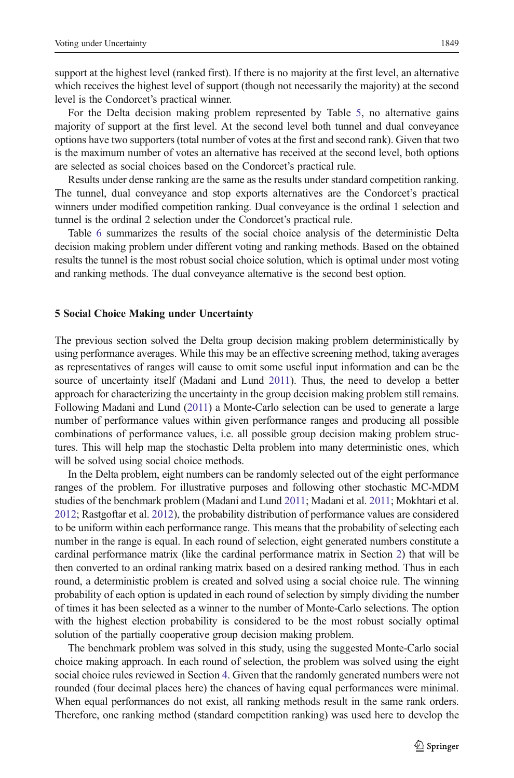level is the Condorcet's practical winner. For the Delta decision making problem represented by Table [5](#page-9-0), no alternative gains majority of support at the first level. At the second level both tunnel and dual conveyance options have two supporters (total number of votes at the first and second rank). Given that two is the maximum number of votes an alternative has received at the second level, both options are selected as social choices based on the Condorcet's practical rule.

Results under dense ranking are the same as the results under standard competition ranking. The tunnel, dual conveyance and stop exports alternatives are the Condorcet's practical winners under modified competition ranking. Dual conveyance is the ordinal 1 selection and tunnel is the ordinal 2 selection under the Condorcet's practical rule.

Table [6](#page-11-0) summarizes the results of the social choice analysis of the deterministic Delta decision making problem under different voting and ranking methods. Based on the obtained results the tunnel is the most robust social choice solution, which is optimal under most voting and ranking methods. The dual conveyance alternative is the second best option.

#### 5 Social Choice Making under Uncertainty

The previous section solved the Delta group decision making problem deterministically by using performance averages. While this may be an effective screening method, taking averages as representatives of ranges will cause to omit some useful input information and can be the source of uncertainty itself (Madani and Lund [2011](#page-17-0)). Thus, the need to develop a better approach for characterizing the uncertainty in the group decision making problem still remains. Following Madani and Lund [\(2011](#page-17-0)) a Monte-Carlo selection can be used to generate a large number of performance values within given performance ranges and producing all possible combinations of performance values, i.e. all possible group decision making problem structures. This will help map the stochastic Delta problem into many deterministic ones, which will be solved using social choice methods.

In the Delta problem, eight numbers can be randomly selected out of the eight performance ranges of the problem. For illustrative purposes and following other stochastic MC-MDM studies of the benchmark problem (Madani and Lund [2011;](#page-17-0) Madani et al. [2011](#page-17-0); Mokhtari et al. [2012](#page-17-0); Rastgoftar et al. [2012](#page-17-0)), the probability distribution of performance values are considered to be uniform within each performance range. This means that the probability of selecting each number in the range is equal. In each round of selection, eight generated numbers constitute a cardinal performance matrix (like the cardinal performance matrix in Section [2\)](#page-2-0) that will be then converted to an ordinal ranking matrix based on a desired ranking method. Thus in each round, a deterministic problem is created and solved using a social choice rule. The winning probability of each option is updated in each round of selection by simply dividing the number of times it has been selected as a winner to the number of Monte-Carlo selections. The option with the highest election probability is considered to be the most robust socially optimal solution of the partially cooperative group decision making problem.

The benchmark problem was solved in this study, using the suggested Monte-Carlo social choice making approach. In each round of selection, the problem was solved using the eight social choice rules reviewed in Section [4.](#page-5-0) Given that the randomly generated numbers were not rounded (four decimal places here) the chances of having equal performances were minimal. When equal performances do not exist, all ranking methods result in the same rank orders. Therefore, one ranking method (standard competition ranking) was used here to develop the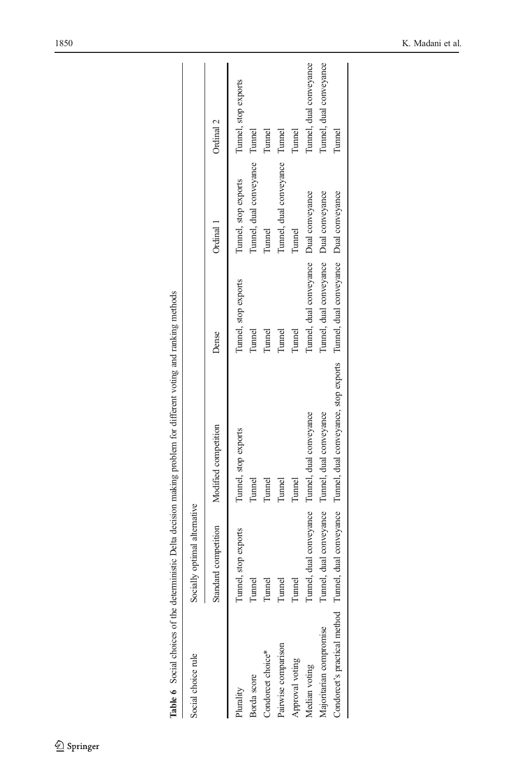<span id="page-11-0"></span>

|                         |                              | Table 6 Social choices of the deterministic Delta decision making problem for different voting and ranking methods              |                                         |                         |                         |
|-------------------------|------------------------------|---------------------------------------------------------------------------------------------------------------------------------|-----------------------------------------|-------------------------|-------------------------|
| Social choice rule      | Socially optimal alternative |                                                                                                                                 |                                         |                         |                         |
|                         | Standard competition         | Modified competition                                                                                                            | Dense                                   | Ordinal 1               | Ordinal <sub>2</sub>    |
| Plurality               | Tunnel, stop exports         | Tunnel, stop exports                                                                                                            | Tunnel, stop exports                    | Tunnel, stop exports    | Tunnel, stop exports    |
| Borda score             | Tunnel                       | Tunnel                                                                                                                          | Tunnel                                  | Tunnel, dual conveyance | Tunnel                  |
| Condorcet choice*       | Tunnel                       | Tunnel                                                                                                                          | Tunnel                                  | Tunnel                  | Tunnel                  |
| Pairwise comparison     | Tunnel                       | Tunnel                                                                                                                          | Tunnel                                  | Tunnel, dual conveyance | Tunnel                  |
| Approval voting         | Tunnel                       | Tunnel                                                                                                                          | Tunnel                                  | Tunnel                  | Tunnel                  |
| Median voting           | Tunnel, dual conveyance      | Tunnel, dual conveyance                                                                                                         | Tunnel, dual conveyance                 | Dual conveyance         | Tunnel, dual conveyance |
| Majoritarian compromise |                              | Tunnel, dual conveyance Tunnel, dual conveyance                                                                                 | Tunnel, dual conveyance Dual conveyance |                         | Tunnel, dual conveyance |
|                         |                              | Condorcet's practical method Tumel, dual conveyance Tumel, dual conveyance, stop exports Tumel, dual conveyance Dual conveyance |                                         |                         | Tunnel                  |
|                         |                              |                                                                                                                                 |                                         |                         |                         |

| i                                              |
|------------------------------------------------|
|                                                |
| ׇ֚֕֕                                           |
|                                                |
| j<br>$\frac{1}{1}$                             |
| ١                                              |
|                                                |
| ֠                                              |
| i<br>I<br>I<br>I<br>I<br>I<br>I<br>I<br>I<br>î |
|                                                |
|                                                |
|                                                |
|                                                |
| Talah<br>à<br>֚֕֡                              |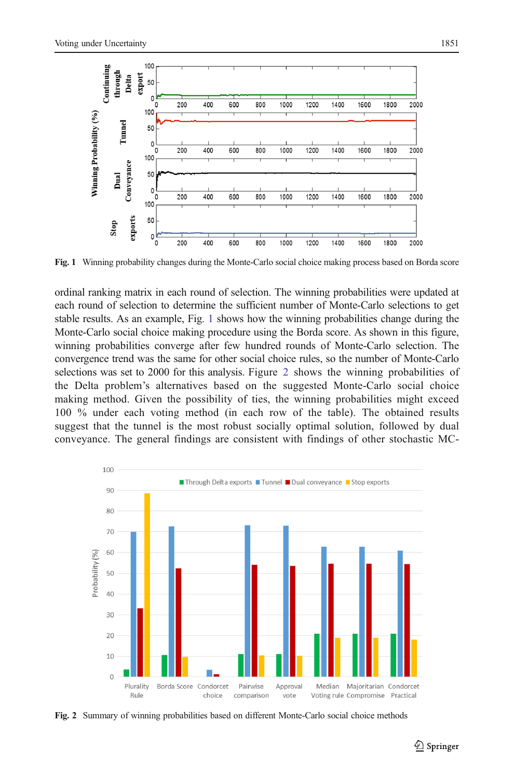<span id="page-12-0"></span>

Fig. 1 Winning probability changes during the Monte-Carlo social choice making process based on Borda score

ordinal ranking matrix in each round of selection. The winning probabilities were updated at each round of selection to determine the sufficient number of Monte-Carlo selections to get stable results. As an example, Fig. 1 shows how the winning probabilities change during the Monte-Carlo social choice making procedure using the Borda score. As shown in this figure, winning probabilities converge after few hundred rounds of Monte-Carlo selection. The convergence trend was the same for other social choice rules, so the number of Monte-Carlo selections was set to 2000 for this analysis. Figure 2 shows the winning probabilities of the Delta problem's alternatives based on the suggested Monte-Carlo social choice making method. Given the possibility of ties, the winning probabilities might exceed 100 % under each voting method (in each row of the table). The obtained results suggest that the tunnel is the most robust socially optimal solution, followed by dual conveyance. The general findings are consistent with findings of other stochastic MC-



Fig. 2 Summary of winning probabilities based on different Monte-Carlo social choice methods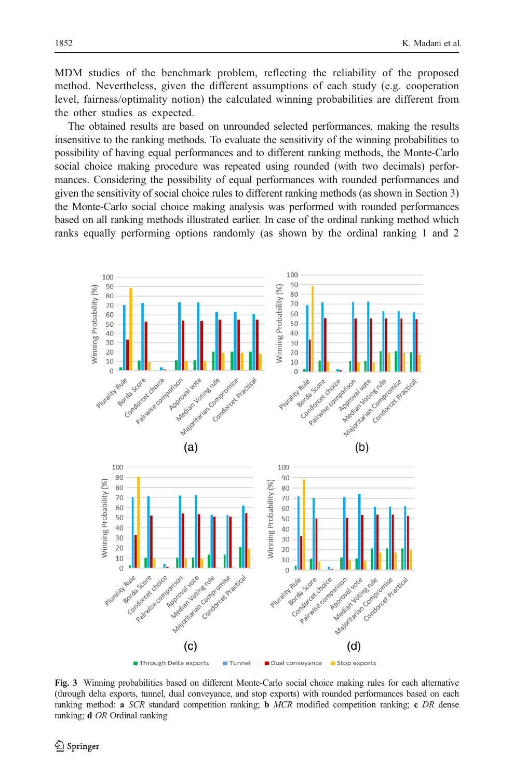<span id="page-13-0"></span>MDM studies of the benchmark problem, reflecting the reliability of the proposed method. Nevertheless, given the different assumptions of each study (e.g. cooperation level, fairness/optimality notion) the calculated winning probabilities are different from the other studies as expected.

The obtained results are based on unrounded selected performances, making the results insensitive to the ranking methods. To evaluate the sensitivity of the winning probabilities to possibility of having equal performances and to different ranking methods, the Monte-Carlo social choice making procedure was repeated using rounded (with two decimals) performances. Considering the possibility of equal performances with rounded performances and given the sensitivity of social choice rules to different ranking methods (as shown in Section [3\)](#page-4-0) the Monte-Carlo social choice making analysis was performed with rounded performances based on all ranking methods illustrated earlier. In case of the ordinal ranking method which ranks equally performing options randomly (as shown by the ordinal ranking 1 and 2



Fig. 3 Winning probabilities based on different Monte-Carlo social choice making rules for each alternative (through delta exports, tunnel, dual conveyance, and stop exports) with rounded performances based on each ranking method: a SCR standard competition ranking; **b** MCR modified competition ranking; **c** DR dense ranking; d OR Ordinal ranking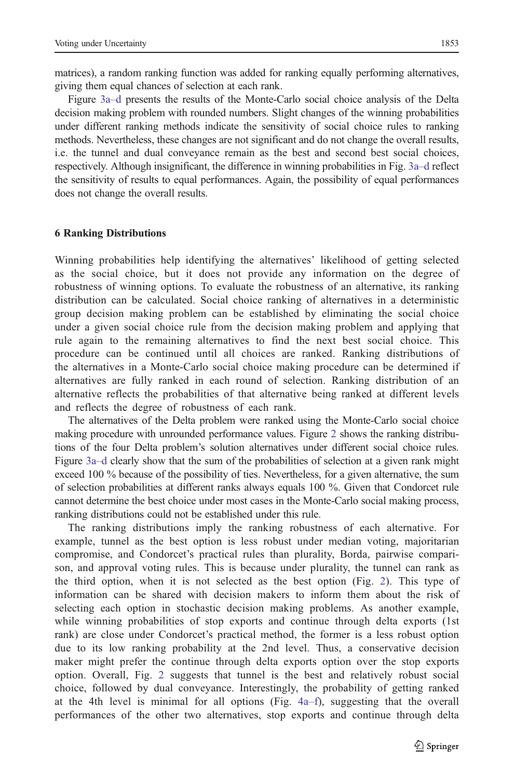matrices), a random ranking function was added for ranking equally performing alternatives, giving them equal chances of selection at each rank.

Figure [3a](#page-13-0)–d presents the results of the Monte-Carlo social choice analysis of the Delta decision making problem with rounded numbers. Slight changes of the winning probabilities under different ranking methods indicate the sensitivity of social choice rules to ranking methods. Nevertheless, these changes are not significant and do not change the overall results, i.e. the tunnel and dual conveyance remain as the best and second best social choices, respectively. Although insignificant, the difference in winning probabilities in Fig. [3a](#page-13-0)–d reflect the sensitivity of results to equal performances. Again, the possibility of equal performances does not change the overall results.

#### 6 Ranking Distributions

Winning probabilities help identifying the alternatives' likelihood of getting selected as the social choice, but it does not provide any information on the degree of robustness of winning options. To evaluate the robustness of an alternative, its ranking distribution can be calculated. Social choice ranking of alternatives in a deterministic group decision making problem can be established by eliminating the social choice under a given social choice rule from the decision making problem and applying that rule again to the remaining alternatives to find the next best social choice. This procedure can be continued until all choices are ranked. Ranking distributions of the alternatives in a Monte-Carlo social choice making procedure can be determined if alternatives are fully ranked in each round of selection. Ranking distribution of an alternative reflects the probabilities of that alternative being ranked at different levels and reflects the degree of robustness of each rank.

The alternatives of the Delta problem were ranked using the Monte-Carlo social choice making procedure with unrounded performance values. Figure [2](#page-12-0) shows the ranking distributions of the four Delta problem's solution alternatives under different social choice rules. Figure [3a](#page-13-0)–d clearly show that the sum of the probabilities of selection at a given rank might exceed 100 % because of the possibility of ties. Nevertheless, for a given alternative, the sum of selection probabilities at different ranks always equals 100 %. Given that Condorcet rule cannot determine the best choice under most cases in the Monte-Carlo social making process, ranking distributions could not be established under this rule.

The ranking distributions imply the ranking robustness of each alternative. For example, tunnel as the best option is less robust under median voting, majoritarian compromise, and Condorcet's practical rules than plurality, Borda, pairwise comparison, and approval voting rules. This is because under plurality, the tunnel can rank as the third option, when it is not selected as the best option (Fig. [2\)](#page-12-0). This type of information can be shared with decision makers to inform them about the risk of selecting each option in stochastic decision making problems. As another example, while winning probabilities of stop exports and continue through delta exports (1st rank) are close under Condorcet's practical method, the former is a less robust option due to its low ranking probability at the 2nd level. Thus, a conservative decision maker might prefer the continue through delta exports option over the stop exports option. Overall, Fig. [2](#page-12-0) suggests that tunnel is the best and relatively robust social choice, followed by dual conveyance. Interestingly, the probability of getting ranked at the 4th level is minimal for all options (Fig. [4a](#page-15-0)–f), suggesting that the overall performances of the other two alternatives, stop exports and continue through delta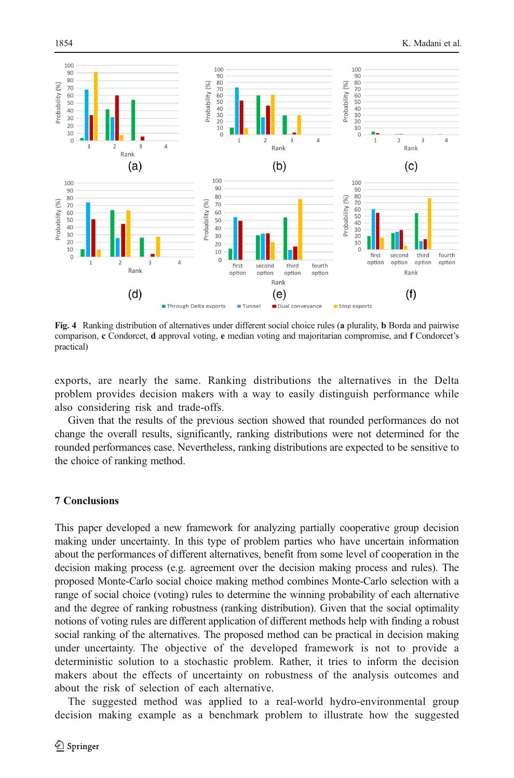<span id="page-15-0"></span>

Fig. 4 Ranking distribution of alternatives under different social choice rules (a plurality, b Borda and pairwise comparison, c Condorcet, d approval voting, e median voting and majoritarian compromise, and f Condorcet's practical)

exports, are nearly the same. Ranking distributions the alternatives in the Delta problem provides decision makers with a way to easily distinguish performance while also considering risk and trade-offs.

Given that the results of the previous section showed that rounded performances do not change the overall results, significantly, ranking distributions were not determined for the rounded performances case. Nevertheless, ranking distributions are expected to be sensitive to the choice of ranking method.

### 7 Conclusions

This paper developed a new framework for analyzing partially cooperative group decision making under uncertainty. In this type of problem parties who have uncertain information about the performances of different alternatives, benefit from some level of cooperation in the decision making process (e.g. agreement over the decision making process and rules). The proposed Monte-Carlo social choice making method combines Monte-Carlo selection with a range of social choice (voting) rules to determine the winning probability of each alternative and the degree of ranking robustness (ranking distribution). Given that the social optimality notions of voting rules are different application of different methods help with finding a robust social ranking of the alternatives. The proposed method can be practical in decision making under uncertainty. The objective of the developed framework is not to provide a deterministic solution to a stochastic problem. Rather, it tries to inform the decision makers about the effects of uncertainty on robustness of the analysis outcomes and about the risk of selection of each alternative.

The suggested method was applied to a real-world hydro-environmental group decision making example as a benchmark problem to illustrate how the suggested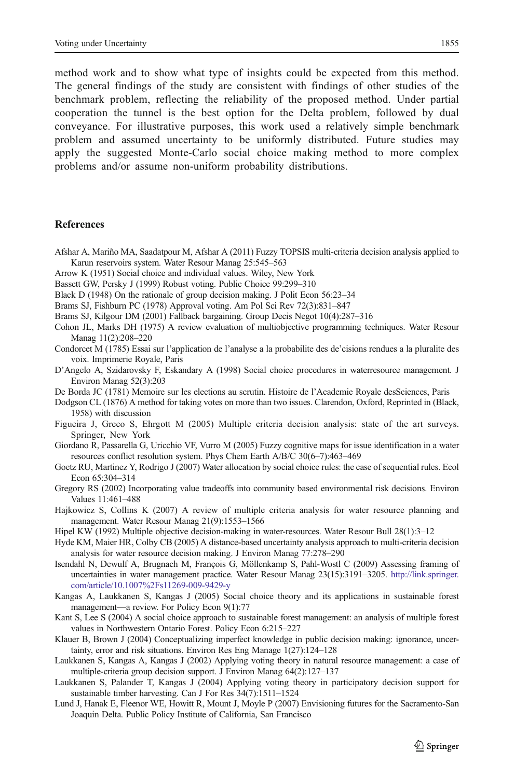<span id="page-16-0"></span>method work and to show what type of insights could be expected from this method. The general findings of the study are consistent with findings of other studies of the benchmark problem, reflecting the reliability of the proposed method. Under partial cooperation the tunnel is the best option for the Delta problem, followed by dual conveyance. For illustrative purposes, this work used a relatively simple benchmark problem and assumed uncertainty to be uniformly distributed. Future studies may apply the suggested Monte-Carlo social choice making method to more complex problems and/or assume non-uniform probability distributions.

#### References

- Afshar A, Mariño MA, Saadatpour M, Afshar A (2011) Fuzzy TOPSIS multi-criteria decision analysis applied to Karun reservoirs system. Water Resour Manag 25:545–563
- Arrow K (1951) Social choice and individual values. Wiley, New York
- Bassett GW, Persky J (1999) Robust voting. Public Choice 99:299–310
- Black D (1948) On the rationale of group decision making. J Polit Econ 56:23–34
- Brams SJ, Fishburn PC (1978) Approval voting. Am Pol Sci Rev 72(3):831–847
- Brams SJ, Kilgour DM (2001) Fallback bargaining. Group Decis Negot 10(4):287–316
- Cohon JL, Marks DH (1975) A review evaluation of multiobjective programming techniques. Water Resour Manag 11(2):208–220
- Condorcet M (1785) Essai sur l'application de l'analyse a la probabilite des de'cisions rendues a la pluralite des voix. Imprimerie Royale, Paris
- D'Angelo A, Szidarovsky F, Eskandary A (1998) Social choice procedures in waterresource management. J Environ Manag 52(3):203
- De Borda JC (1781) Memoire sur les elections au scrutin. Histoire de l'Academie Royale desSciences, Paris
- Dodgson CL (1876) A method for taking votes on more than two issues. Clarendon, Oxford, Reprinted in (Black, 1958) with discussion
- Figueira J, Greco S, Ehrgott M (2005) Multiple criteria decision analysis: state of the art surveys. Springer, New York
- Giordano R, Passarella G, Uricchio VF, Vurro M (2005) Fuzzy cognitive maps for issue identification in a water resources conflict resolution system. Phys Chem Earth A/B/C 30(6–7):463–469
- Goetz RU, Martinez Y, Rodrigo J (2007) Water allocation by social choice rules: the case of sequential rules. Ecol Econ 65:304–314
- Gregory RS (2002) Incorporating value tradeoffs into community based environmental risk decisions. Environ Values 11:461–488
- Hajkowicz S, Collins K (2007) A review of multiple criteria analysis for water resource planning and management. Water Resour Manag 21(9):1553–1566
- Hipel KW (1992) Multiple objective decision-making in water-resources. Water Resour Bull 28(1):3–12
- Hyde KM, Maier HR, Colby CB (2005) A distance-based uncertainty analysis approach to multi-criteria decision analysis for water resource decision making. J Environ Manag 77:278–290
- Isendahl N, Dewulf A, Brugnach M, François G, Möllenkamp S, Pahl-Wostl C (2009) Assessing framing of uncertainties in water management practice. Water Resour Manag 23(15):3191–3205. [http://link.springer.](http://link.springer.com/article/10.1007%2Fs11269-009-9429-y) [com/article/10.1007%2Fs11269-009-9429-y](http://link.springer.com/article/10.1007%2Fs11269-009-9429-y)
- Kangas A, Laukkanen S, Kangas J (2005) Social choice theory and its applications in sustainable forest management—a review. For Policy Econ 9(1):77
- Kant S, Lee S (2004) A social choice approach to sustainable forest management: an analysis of multiple forest values in Northwestern Ontario Forest. Policy Econ 6:215–227
- Klauer B, Brown J (2004) Conceptualizing imperfect knowledge in public decision making: ignorance, uncertainty, error and risk situations. Environ Res Eng Manage 1(27):124–128
- Laukkanen S, Kangas A, Kangas J (2002) Applying voting theory in natural resource management: a case of multiple-criteria group decision support. J Environ Manag 64(2):127–137
- Laukkanen S, Palander T, Kangas J (2004) Applying voting theory in participatory decision support for sustainable timber harvesting. Can J For Res 34(7):1511–1524
- Lund J, Hanak E, Fleenor WE, Howitt R, Mount J, Moyle P (2007) Envisioning futures for the Sacramento-San Joaquin Delta. Public Policy Institute of California, San Francisco